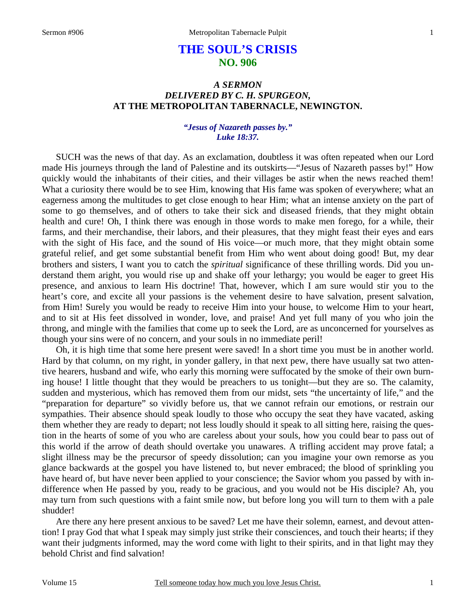# **THE SOUL'S CRISIS NO. 906**

# *A SERMON DELIVERED BY C. H. SPURGEON,*  **AT THE METROPOLITAN TABERNACLE, NEWINGTON.**

#### *"Jesus of Nazareth passes by." Luke 18:37.*

SUCH was the news of that day. As an exclamation, doubtless it was often repeated when our Lord made His journeys through the land of Palestine and its outskirts—"Jesus of Nazareth passes by!" How quickly would the inhabitants of their cities, and their villages be astir when the news reached them! What a curiosity there would be to see Him, knowing that His fame was spoken of everywhere; what an eagerness among the multitudes to get close enough to hear Him; what an intense anxiety on the part of some to go themselves, and of others to take their sick and diseased friends, that they might obtain health and cure! Oh, I think there was enough in those words to make men forego, for a while, their farms, and their merchandise, their labors, and their pleasures, that they might feast their eyes and ears with the sight of His face, and the sound of His voice—or much more, that they might obtain some grateful relief, and get some substantial benefit from Him who went about doing good! But, my dear brothers and sisters, I want you to catch the *spiritual* significance of these thrilling words. Did you understand them aright, you would rise up and shake off your lethargy; you would be eager to greet His presence, and anxious to learn His doctrine! That, however, which I am sure would stir you to the heart's core, and excite all your passions is the vehement desire to have salvation, present salvation, from Him! Surely you would be ready to receive Him into your house, to welcome Him to your heart, and to sit at His feet dissolved in wonder, love, and praise! And yet full many of you who join the throng, and mingle with the families that come up to seek the Lord, are as unconcerned for yourselves as though your sins were of no concern, and your souls in no immediate peril!

 Oh, it is high time that some here present were saved! In a short time you must be in another world. Hard by that column, on my right, in yonder gallery, in that next pew, there have usually sat two attentive hearers, husband and wife, who early this morning were suffocated by the smoke of their own burning house! I little thought that they would be preachers to us tonight—but they are so. The calamity, sudden and mysterious, which has removed them from our midst, sets "the uncertainty of life," and the "preparation for departure" so vividly before us, that we cannot refrain our emotions, or restrain our sympathies. Their absence should speak loudly to those who occupy the seat they have vacated, asking them whether they are ready to depart; not less loudly should it speak to all sitting here, raising the question in the hearts of some of you who are careless about your souls, how you could bear to pass out of this world if the arrow of death should overtake you unawares. A trifling accident may prove fatal; a slight illness may be the precursor of speedy dissolution; can you imagine your own remorse as you glance backwards at the gospel you have listened to, but never embraced; the blood of sprinkling you have heard of, but have never been applied to your conscience; the Savior whom you passed by with indifference when He passed by you, ready to be gracious, and you would not be His disciple? Ah, you may turn from such questions with a faint smile now, but before long you will turn to them with a pale shudder!

 Are there any here present anxious to be saved? Let me have their solemn, earnest, and devout attention! I pray God that what I speak may simply just strike their consciences, and touch their hearts; if they want their judgments informed, may the word come with light to their spirits, and in that light may they behold Christ and find salvation!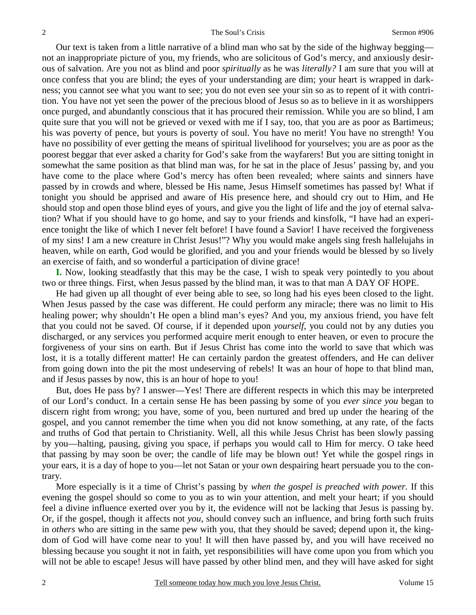Our text is taken from a little narrative of a blind man who sat by the side of the highway begging not an inappropriate picture of you, my friends, who are solicitous of God's mercy, and anxiously desirous of salvation. Are you not as blind and poor *spiritually* as he was *literally?* I am sure that you will at once confess that you are blind; the eyes of your understanding are dim; your heart is wrapped in darkness; you cannot see what you want to see; you do not even see your sin so as to repent of it with contrition. You have not yet seen the power of the precious blood of Jesus so as to believe in it as worshippers once purged, and abundantly conscious that it has procured their remission. While you are so blind, I am quite sure that you will not be grieved or vexed with me if I say, too, that you are as poor as Bartimeus; his was poverty of pence, but yours is poverty of soul. You have no merit! You have no strength! You have no possibility of ever getting the means of spiritual livelihood for yourselves; you are as poor as the poorest beggar that ever asked a charity for God's sake from the wayfarers! But you are sitting tonight in somewhat the same position as that blind man was, for he sat in the place of Jesus' passing by, and you have come to the place where God's mercy has often been revealed; where saints and sinners have passed by in crowds and where, blessed be His name, Jesus Himself sometimes has passed by! What if tonight you should be apprised and aware of His presence here, and should cry out to Him, and He should stop and open those blind eyes of yours, and give you the light of life and the joy of eternal salvation? What if you should have to go home, and say to your friends and kinsfolk, "I have had an experience tonight the like of which I never felt before! I have found a Savior! I have received the forgiveness of my sins! I am a new creature in Christ Jesus!"? Why you would make angels sing fresh hallelujahs in heaven, while on earth, God would be glorified, and you and your friends would be blessed by so lively an exercise of faith, and so wonderful a participation of divine grace!

**I.** Now, looking steadfastly that this may be the case, I wish to speak very pointedly to you about two or three things. First, when Jesus passed by the blind man, it was to that man A DAY OF HOPE.

 He had given up all thought of ever being able to see, so long had his eyes been closed to the light. When Jesus passed by the case was different. He could perform any miracle; there was no limit to His healing power; why shouldn't He open a blind man's eyes? And you, my anxious friend, you have felt that you could not be saved. Of course, if it depended upon *yourself,* you could not by any duties you discharged, or any services you performed acquire merit enough to enter heaven, or even to procure the forgiveness of your sins on earth. But if Jesus Christ has come into the world to save that which was lost, it is a totally different matter! He can certainly pardon the greatest offenders, and He can deliver from going down into the pit the most undeserving of rebels! It was an hour of hope to that blind man, and if Jesus passes by now, this is an hour of hope to you!

 But, does He pass by? I answer—Yes! There are different respects in which this may be interpreted of our Lord's conduct. In a certain sense He has been passing by some of you *ever since you* began to discern right from wrong; you have, some of you, been nurtured and bred up under the hearing of the gospel, and you cannot remember the time when you did not know something, at any rate, of the facts and truths of God that pertain to Christianity. Well, all this while Jesus Christ has been slowly passing by you—halting, pausing, giving you space, if perhaps you would call to Him for mercy. O take heed that passing by may soon be over; the candle of life may be blown out! Yet while the gospel rings in your ears, it is a day of hope to you—let not Satan or your own despairing heart persuade you to the contrary.

 More especially is it a time of Christ's passing by *when the gospel is preached with power.* If this evening the gospel should so come to you as to win your attention, and melt your heart; if you should feel a divine influence exerted over you by it, the evidence will not be lacking that Jesus is passing by. Or, if the gospel, though it affects not *you*, should convey such an influence, and bring forth such fruits in *others* who are sitting in the same pew with you, that they should be saved; depend upon it, the kingdom of God will have come near to you! It will then have passed by, and you will have received no blessing because you sought it not in faith, yet responsibilities will have come upon you from which you will not be able to escape! Jesus will have passed by other blind men, and they will have asked for sight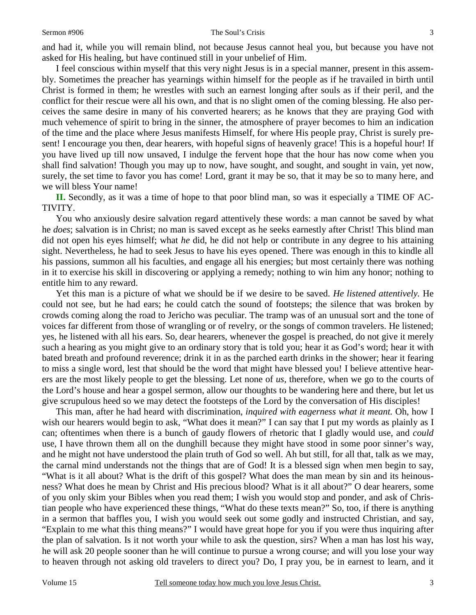and had it, while you will remain blind, not because Jesus cannot heal you, but because you have not asked for His healing, but have continued still in your unbelief of Him.

 I feel conscious within myself that this very night Jesus is in a special manner, present in this assembly. Sometimes the preacher has yearnings within himself for the people as if he travailed in birth until Christ is formed in them; he wrestles with such an earnest longing after souls as if their peril, and the conflict for their rescue were all his own, and that is no slight omen of the coming blessing. He also perceives the same desire in many of his converted hearers; as he knows that they are praying God with much vehemence of spirit to bring in the sinner, the atmosphere of prayer becomes to him an indication of the time and the place where Jesus manifests Himself, for where His people pray, Christ is surely present! I encourage you then, dear hearers, with hopeful signs of heavenly grace! This is a hopeful hour! If you have lived up till now unsaved, I indulge the fervent hope that the hour has now come when you shall find salvation! Though you may up to now, have sought, and sought, and sought in vain, yet now, surely, the set time to favor you has come! Lord, grant it may be so, that it may be so to many here, and we will bless Your name!

**II.** Secondly, as it was a time of hope to that poor blind man, so was it especially a TIME OF AC-TIVITY.

 You who anxiously desire salvation regard attentively these words: a man cannot be saved by what he *does*; salvation is in Christ; no man is saved except as he seeks earnestly after Christ! This blind man did not open his eyes himself; what *he* did, he did not help or contribute in any degree to his attaining sight. Nevertheless, he had to seek Jesus to have his eyes opened. There was enough in this to kindle all his passions, summon all his faculties, and engage all his energies; but most certainly there was nothing in it to exercise his skill in discovering or applying a remedy; nothing to win him any honor; nothing to entitle him to any reward.

 Yet this man is a picture of what we should be if we desire to be saved. *He listened attentively.* He could not see, but he had ears; he could catch the sound of footsteps; the silence that was broken by crowds coming along the road to Jericho was peculiar. The tramp was of an unusual sort and the tone of voices far different from those of wrangling or of revelry, or the songs of common travelers. He listened; yes, he listened with all his ears. So, dear hearers, whenever the gospel is preached, do not give it merely such a hearing as you might give to an ordinary story that is told you; hear it as God's word; hear it with bated breath and profound reverence; drink it in as the parched earth drinks in the shower; hear it fearing to miss a single word, lest that should be the word that might have blessed you! I believe attentive hearers are the most likely people to get the blessing. Let none of *us,* therefore, when we go to the courts of the Lord's house and hear a gospel sermon, allow our thoughts to be wandering here and there, but let us give scrupulous heed so we may detect the footsteps of the Lord by the conversation of His disciples!

 This man, after he had heard with discrimination, *inquired with eagerness what it meant.* Oh, how I wish our hearers would begin to ask, "What does it mean?" I can say that I put my words as plainly as I can; oftentimes when there is a bunch of gaudy flowers of rhetoric that I gladly would use, and *could* use, I have thrown them all on the dunghill because they might have stood in some poor sinner's way, and he might not have understood the plain truth of God so well. Ah but still, for all that, talk as we may, the carnal mind understands not the things that are of God! It is a blessed sign when men begin to say, "What is it all about? What is the drift of this gospel? What does the man mean by sin and its heinousness? What does he mean by Christ and His precious blood? What is it all about?" O dear hearers, some of you only skim your Bibles when you read them; I wish you would stop and ponder, and ask of Christian people who have experienced these things, "What do these texts mean?" So, too, if there is anything in a sermon that baffles you, I wish you would seek out some godly and instructed Christian, and say, "Explain to me what this thing means?" I would have great hope for you if you were thus inquiring after the plan of salvation. Is it not worth your while to ask the question, sirs? When a man has lost his way, he will ask 20 people sooner than he will continue to pursue a wrong course; and will you lose your way to heaven through not asking old travelers to direct you? Do, I pray you, be in earnest to learn, and it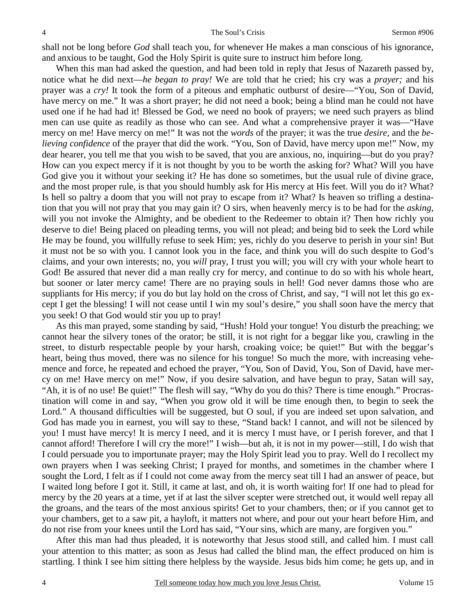shall not be long before *God* shall teach you, for whenever He makes a man conscious of his ignorance, and anxious to be taught, God the Holy Spirit is quite sure to instruct him before long.

 When this man had asked the question, and had been told in reply that Jesus of Nazareth passed by, notice what he did next—*he began to pray!* We are told that he cried; his cry was a *prayer;* and his prayer was a *cry!* It took the form of a piteous and emphatic outburst of desire—"You, Son of David, have mercy on me." It was a short prayer; he did not need a book; being a blind man he could not have used one if he had had it! Blessed be God, we need no book of prayers; we need such prayers as blind men can use quite as readily as those who can see. And what a comprehensive prayer it was—"Have mercy on me! Have mercy on me!" It was not the *words* of the prayer; it was the true *desire,* and the *believing confidence* of the prayer that did the work. "You, Son of David, have mercy upon me!" Now, my dear hearer, you tell me that you wish to be saved, that you are anxious, no, inquiring—but do you pray? How can you expect mercy if it is not thought by you to be worth the asking for? What? Will you have God give you it without your seeking it? He has done so sometimes, but the usual rule of divine grace, and the most proper rule, is that you should humbly ask for His mercy at His feet. Will you do it? What? Is hell so paltry a doom that you will not pray to escape from it? What? Is heaven so trifling a destination that you will not pray that you may gain it? O sirs, when heavenly mercy is to be had for the *asking*, will you not invoke the Almighty, and be obedient to the Redeemer to obtain it? Then how richly you deserve to die! Being placed on pleading terms, you will not plead; and being bid to seek the Lord while He may be found, you willfully refuse to seek Him; yes, richly do you deserve to perish in your sin! But it must not be so with you. I cannot look you in the face, and think you will do such despite to God's claims, and your own interests; no, you *will* pray, I trust you will; you will cry with your whole heart to God! Be assured that never did a man really cry for mercy, and continue to do so with his whole heart, but sooner or later mercy came! There are no praying souls in hell! God never damns those who are suppliants for His mercy; if you do but lay hold on the cross of Christ, and say, "I will not let this go except I get the blessing! I will not cease until I win my soul's desire," you shall soon have the mercy that you seek! O that God would stir you up to pray!

 As this man prayed, some standing by said, "Hush! Hold your tongue! You disturb the preaching; we cannot hear the silvery tones of the orator; be still, it is not right for a beggar like you, crawling in the street, to disturb respectable people by your harsh, croaking voice; be quiet!" But with the beggar's heart, being thus moved, there was no silence for his tongue! So much the more, with increasing vehemence and force, he repeated and echoed the prayer, "You, Son of David, You, Son of David, have mercy on me! Have mercy on me!" Now, if you desire salvation, and have begun to pray, Satan will say, "Ah, it is of no use! Be quiet!" The flesh will say, "Why do you do this? There is time enough." Procrastination will come in and say, "When you grow old it will be time enough then, to begin to seek the Lord." A thousand difficulties will be suggested, but O soul, if you are indeed set upon salvation, and God has made you in earnest, you will say to these, "Stand back! I cannot, and will not be silenced by you! I must have mercy! It is mercy I need, and it is mercy I must have, or I perish forever, and that I cannot afford! Therefore I will cry the more!" I wish—but ah, it is not in my power—still, I do wish that I could persuade you to importunate prayer; may the Holy Spirit lead you to pray. Well do I recollect my own prayers when I was seeking Christ; I prayed for months, and sometimes in the chamber where I sought the Lord, I felt as if I could not come away from the mercy seat till I had an answer of peace, but I waited long before I got it. Still, it came at last, and oh, it is worth waiting for! If one had to plead for mercy by the 20 years at a time, yet if at last the silver scepter were stretched out, it would well repay all the groans, and the tears of the most anxious spirits! Get to your chambers, then; or if you cannot get to your chambers, get to a saw pit, a hayloft, it matters not where, and pour out your heart before Him, and do not rise from your knees until the Lord has said, "Your sins, which are many, are forgiven you."

 After this man had thus pleaded, it is noteworthy that Jesus stood still, and called him. I must call your attention to this matter; as soon as Jesus had called the blind man, the effect produced on him is startling. I think I see him sitting there helpless by the wayside. Jesus bids him come; he gets up, and in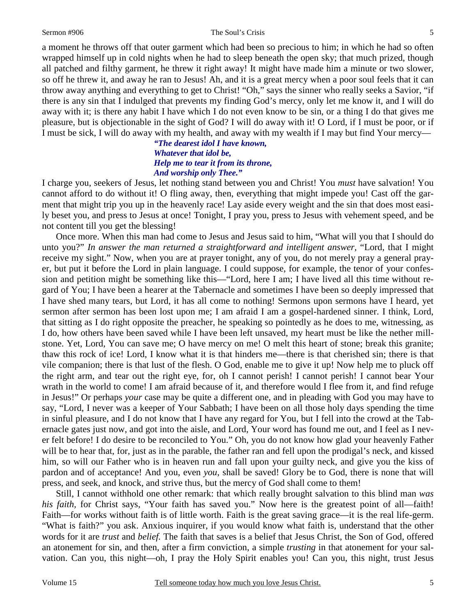#### Sermon #906 The Soul's Crisis

a moment he throws off that outer garment which had been so precious to him; in which he had so often wrapped himself up in cold nights when he had to sleep beneath the open sky; that much prized, though all patched and filthy garment, he threw it right away! It might have made him a minute or two slower, so off he threw it, and away he ran to Jesus! Ah, and it is a great mercy when a poor soul feels that it can throw away anything and everything to get to Christ! "Oh," says the sinner who really seeks a Savior, "if there is any sin that I indulged that prevents my finding God's mercy, only let me know it, and I will do away with it; is there any habit I have which I do not even know to be sin, or a thing I do that gives me pleasure, but is objectionable in the sight of God? I will do away with it! O Lord, if I must be poor, or if I must be sick, I will do away with my health, and away with my wealth if I may but find Your mercy—

### *"The dearest idol I have known, Whatever that idol be, Help me to tear it from its throne, And worship only Thee."*

I charge you, seekers of Jesus, let nothing stand between you and Christ! You *must* have salvation! You cannot afford to do without it! O fling away, then, everything that might impede you! Cast off the garment that might trip you up in the heavenly race! Lay aside every weight and the sin that does most easily beset you, and press to Jesus at once! Tonight, I pray you, press to Jesus with vehement speed, and be not content till you get the blessing!

 Once more. When this man had come to Jesus and Jesus said to him, "What will you that I should do unto you?" *In answer the man returned a straightforward and intelligent answer,* "Lord, that I might receive my sight." Now, when you are at prayer tonight, any of you, do not merely pray a general prayer, but put it before the Lord in plain language. I could suppose, for example, the tenor of your confession and petition might be something like this—"Lord, here I am; I have lived all this time without regard of You; I have been a hearer at the Tabernacle and sometimes I have been so deeply impressed that I have shed many tears, but Lord, it has all come to nothing! Sermons upon sermons have I heard, yet sermon after sermon has been lost upon me; I am afraid I am a gospel-hardened sinner. I think, Lord, that sitting as I do right opposite the preacher, he speaking so pointedly as he does to me, witnessing, as I do, how others have been saved while I have been left unsaved, my heart must be like the nether millstone. Yet, Lord, You can save me; O have mercy on me! O melt this heart of stone; break this granite; thaw this rock of ice! Lord, I know what it is that hinders me—there is that cherished sin; there is that vile companion; there is that lust of the flesh. O God, enable me to give it up! Now help me to pluck off the right arm, and tear out the right eye, for, oh I cannot perish! I cannot perish! I cannot bear Your wrath in the world to come! I am afraid because of it, and therefore would I flee from it, and find refuge in Jesus!" Or perhaps *your* case may be quite a different one, and in pleading with God you may have to say, "Lord, I never was a keeper of Your Sabbath; I have been on all those holy days spending the time in sinful pleasure, and I do not know that I have any regard for You, but I fell into the crowd at the Tabernacle gates just now, and got into the aisle, and Lord, Your word has found me out, and I feel as I never felt before! I do desire to be reconciled to You." Oh, you do not know how glad your heavenly Father will be to hear that, for, just as in the parable, the father ran and fell upon the prodigal's neck, and kissed him, so will our Father who is in heaven run and fall upon your guilty neck, and give you the kiss of pardon and of acceptance! And you, even *you*, shall be saved! Glory be to God, there is none that will press, and seek, and knock, and strive thus, but the mercy of God shall come to them!

 Still, I cannot withhold one other remark: that which really brought salvation to this blind man *was his faith,* for Christ says, "Your faith has saved you." Now here is the greatest point of all—faith! Faith—for works without faith is of little worth. Faith is the great saving grace—it is the real life-germ. "What is faith?" you ask. Anxious inquirer, if you would know what faith is, understand that the other words for it are *trust* and *belief.* The faith that saves is a belief that Jesus Christ, the Son of God, offered an atonement for sin, and then, after a firm conviction, a simple *trusting* in that atonement for your salvation. Can you, this night—oh, I pray the Holy Spirit enables you! Can you, this night, trust Jesus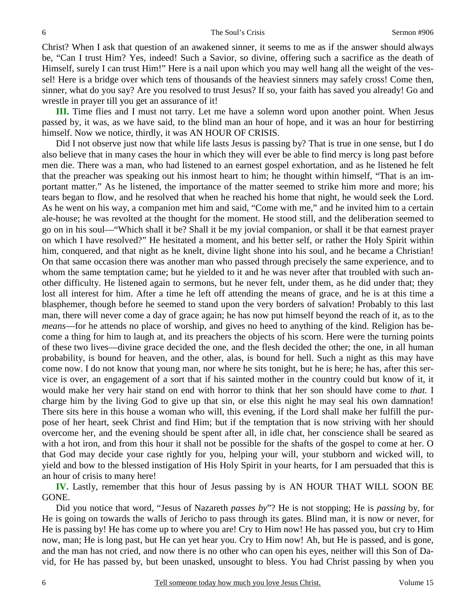Christ? When I ask that question of an awakened sinner, it seems to me as if the answer should always be, "Can I trust Him? Yes, indeed! Such a Savior, so divine, offering such a sacrifice as the death of Himself, surely I can trust Him!" Here is a nail upon which you may well hang all the weight of the vessel! Here is a bridge over which tens of thousands of the heaviest sinners may safely cross! Come then, sinner, what do you say? Are you resolved to trust Jesus? If so, your faith has saved you already! Go and wrestle in prayer till you get an assurance of it!

**III.** Time flies and I must not tarry. Let me have a solemn word upon another point. When Jesus passed by, it was, as we have said, to the blind man an hour of hope, and it was an hour for bestirring himself. Now we notice, thirdly, it was AN HOUR OF CRISIS.

Did I not observe just now that while life lasts Jesus is passing by? That is true in one sense, but I do also believe that in many cases the hour in which they will ever be able to find mercy is long past before men die. There was a man, who had listened to an earnest gospel exhortation, and as he listened he felt that the preacher was speaking out his inmost heart to him; he thought within himself, "That is an important matter." As he listened, the importance of the matter seemed to strike him more and more; his tears began to flow, and he resolved that when he reached his home that night, he would seek the Lord. As he went on his way, a companion met him and said, "Come with me," and he invited him to a certain ale-house; he was revolted at the thought for the moment. He stood still, and the deliberation seemed to go on in his soul—"Which shall it be? Shall it be my jovial companion, or shall it be that earnest prayer on which I have resolved?" He hesitated a moment, and his better self, or rather the Holy Spirit within him, conquered, and that night as he knelt, divine light shone into his soul, and he became a Christian! On that same occasion there was another man who passed through precisely the same experience, and to whom the same temptation came; but he yielded to it and he was never after that troubled with such another difficulty. He listened again to sermons, but he never felt, under them, as he did under that; they lost all interest for him. After a time he left off attending the means of grace, and he is at this time a blasphemer, though before he seemed to stand upon the very borders of salvation! Probably to this last man, there will never come a day of grace again; he has now put himself beyond the reach of it, as to the *means*—for he attends no place of worship, and gives no heed to anything of the kind. Religion has become a thing for him to laugh at, and its preachers the objects of his scorn. Here were the turning points of these two lives—divine grace decided the one, and the flesh decided the other; the one, in all human probability, is bound for heaven, and the other, alas, is bound for hell. Such a night as this may have come now. I do not know that young man, nor where he sits tonight, but he is here; he has, after this service is over, an engagement of a sort that if his sainted mother in the country could but know of it, it would make her very hair stand on end with horror to think that her son should have come to *that.* I charge him by the living God to give up that sin, or else this night he may seal his own damnation! There sits here in this house a woman who will, this evening, if the Lord shall make her fulfill the purpose of her heart, seek Christ and find Him; but if the temptation that is now striving with her should overcome her, and the evening should be spent after all, in idle chat, her conscience shall be seared as with a hot iron, and from this hour it shall not be possible for the shafts of the gospel to come at her. O that God may decide your case rightly for you, helping your will, your stubborn and wicked will, to yield and bow to the blessed instigation of His Holy Spirit in your hearts, for I am persuaded that this is an hour of crisis to many here!

**IV.** Lastly, remember that this hour of Jesus passing by is AN HOUR THAT WILL SOON BE GONE.

 Did you notice that word, "Jesus of Nazareth *passes by*"? He is not stopping; He is *passing* by, for He is going on towards the walls of Jericho to pass through its gates. Blind man, it is now or never, for He is passing by! He has come up to where you are! Cry to Him now! He has passed you, but cry to Him now, man; He is long past, but He can yet hear you. Cry to Him now! Ah, but He is passed, and is gone, and the man has not cried, and now there is no other who can open his eyes, neither will this Son of David, for He has passed by, but been unasked, unsought to bless. You had Christ passing by when you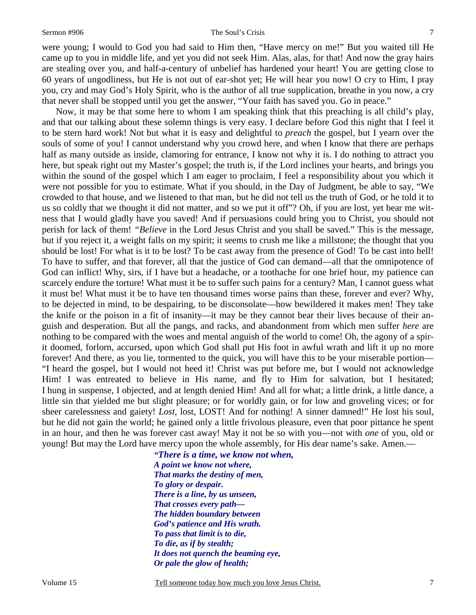#### Sermon #906 The Soul's Crisis

7

were young; I would to God you had said to Him then, "Have mercy on me!" But you waited till He came up to you in middle life, and yet you did not seek Him. Alas, alas, for that! And now the gray hairs are stealing over you, and half-a-century of unbelief has hardened your heart! You are getting close to 60 years of ungodliness, but He is not out of ear-shot yet; He will hear you now! O cry to Him, I pray you, cry and may God's Holy Spirit, who is the author of all true supplication, breathe in you now, a cry that never shall be stopped until you get the answer, "Your faith has saved you. Go in peace."

 Now, it may be that some here to whom I am speaking think that this preaching is all child's play, and that our talking about these solemn things is very easy. I declare before God this night that I feel it to be stern hard work! Not but what it is easy and delightful to *preach* the gospel, but I yearn over the souls of some of you! I cannot understand why you crowd here, and when I know that there are perhaps half as many outside as inside, clamoring for entrance, I know not why it is. I do nothing to attract you here, but speak right out my Master's gospel; the truth is, if the Lord inclines your hearts, and brings you within the sound of the gospel which I am eager to proclaim, I feel a responsibility about you which it were not possible for you to estimate. What if you should, in the Day of Judgment, be able to say, "We crowded to that house, and we listened to that man, but he did not tell us the truth of God, or he told it to us so coldly that we thought it did not matter, and so we put it off"? Oh, if you are lost, yet bear me witness that I would gladly have you saved! And if persuasions could bring you to Christ, you should not perish for lack of them! *"Believe* in the Lord Jesus Christ and you shall be saved." This is the message, but if you reject it, a weight falls on my spirit; it seems to crush me like a millstone; the thought that you should be lost! For what is it to be lost? To be cast away from the presence of God! To be cast into hell! To have to suffer, and that forever, all that the justice of God can demand—all that the omnipotence of God can inflict! Why, sirs, if I have but a headache, or a toothache for one brief hour, my patience can scarcely endure the torture! What must it be to suffer such pains for a century? Man, I cannot guess what it must be! What must it be to have ten thousand times worse pains than these, forever and ever? Why, to be dejected in mind, to be despairing, to be disconsolate—how bewildered it makes men! They take the knife or the poison in a fit of insanity—it may be they cannot bear their lives because of their anguish and desperation. But all the pangs, and racks, and abandonment from which men suffer *here* are nothing to be compared with the woes and mental anguish of the world to come! Oh, the agony of a spirit doomed, forlorn, accursed, upon which God shall put His foot in awful wrath and lift it up no more forever! And there, as you lie, tormented to the quick, you will have this to be your miserable portion— "I heard the gospel, but I would not heed it! Christ was put before me, but I would not acknowledge Him! I was entreated to believe in His name, and fly to Him for salvation, but I hesitated; I hung in suspense, I objected, and at length denied Him! And all for what; a little drink, a little dance, a little sin that yielded me but slight pleasure; or for worldly gain, or for low and groveling vices; or for sheer carelessness and gaiety! *Lost,* lost, LOST! And for nothing! A sinner damned!" He lost his soul, but he did not gain the world; he gained only a little frivolous pleasure, even that poor pittance he spent in an hour, and then he was forever cast away! May it not be so with you—not with *one* of you, old or young! But may the Lord have mercy upon the whole assembly, for His dear name's sake. Amen.—

> *"There is a time, we know not when, A point we know not where, That marks the destiny of men, To glory or despair. There is a line, by us unseen, That crosses every path— The hidden boundary between God's patience and His wrath. To pass that limit is to die, To die, as if by stealth; It does not quench the beaming eye, Or pale the glow of health;*

Volume 15 Tell someone today how much you love Jesus Christ.